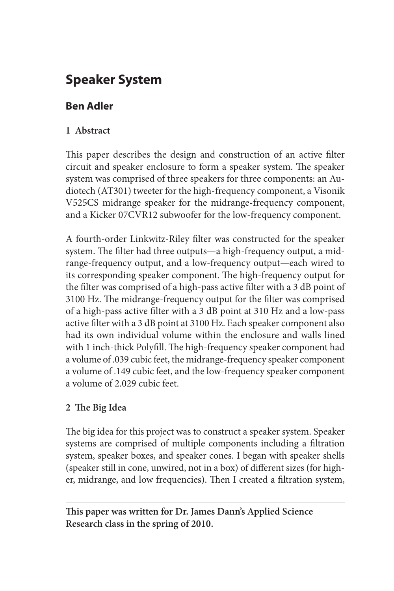# **Speaker System**

# **Ben Adler**

### **1 Abstract**

This paper describes the design and construction of an active filter circuit and speaker enclosure to form a speaker system. The speaker system was comprised of three speakers for three components: an Audiotech (AT301) tweeter for the high-frequency component, a Visonik V525CS midrange speaker for the midrange-frequency component, and a Kicker 07CVR12 subwoofer for the low-frequency component.

A fourth-order Linkwitz-Riley filter was constructed for the speaker system. The filter had three outputs—a high-frequency output, a midrange-frequency output, and a low-frequency output—each wired to its corresponding speaker component. The high-frequency output for the filter was comprised of a high-pass active filter with a 3 dB point of 3100 Hz. The midrange-frequency output for the filter was comprised of a high-pass active filter with a 3 dB point at 310 Hz and a low-pass active filter with a 3 dB point at 3100 Hz. Each speaker component also had its own individual volume within the enclosure and walls lined with 1 inch-thick Polyfill. The high-frequency speaker component had a volume of .039 cubic feet, the midrange-frequency speaker component a volume of .149 cubic feet, and the low-frequency speaker component a volume of 2.029 cubic feet.

### **2 The Big Idea**

The big idea for this project was to construct a speaker system. Speaker systems are comprised of multiple components including a filtration system, speaker boxes, and speaker cones. I began with speaker shells (speaker still in cone, unwired, not in a box) of different sizes (for higher, midrange, and low frequencies). Then I created a filtration system,

**This paper was written for Dr. James Dann's Applied Science Research class in the spring of 2010.**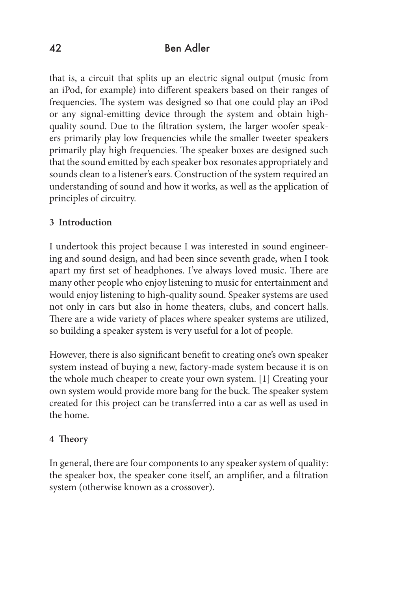that is, a circuit that splits up an electric signal output (music from an iPod, for example) into different speakers based on their ranges of frequencies. The system was designed so that one could play an iPod or any signal-emitting device through the system and obtain highquality sound. Due to the filtration system, the larger woofer speakers primarily play low frequencies while the smaller tweeter speakers primarily play high frequencies. The speaker boxes are designed such that the sound emitted by each speaker box resonates appropriately and sounds clean to a listener's ears. Construction of the system required an understanding of sound and how it works, as well as the application of principles of circuitry.

### **3 Introduction**

I undertook this project because I was interested in sound engineering and sound design, and had been since seventh grade, when I took apart my first set of headphones. I've always loved music. There are many other people who enjoy listening to music for entertainment and would enjoy listening to high-quality sound. Speaker systems are used not only in cars but also in home theaters, clubs, and concert halls. There are a wide variety of places where speaker systems are utilized, so building a speaker system is very useful for a lot of people.

However, there is also significant benefit to creating one's own speaker system instead of buying a new, factory-made system because it is on the whole much cheaper to create your own system. [1] Creating your own system would provide more bang for the buck. The speaker system created for this project can be transferred into a car as well as used in the home.

### **4 Theory**

In general, there are four components to any speaker system of quality: the speaker box, the speaker cone itself, an amplifier, and a filtration system (otherwise known as a crossover).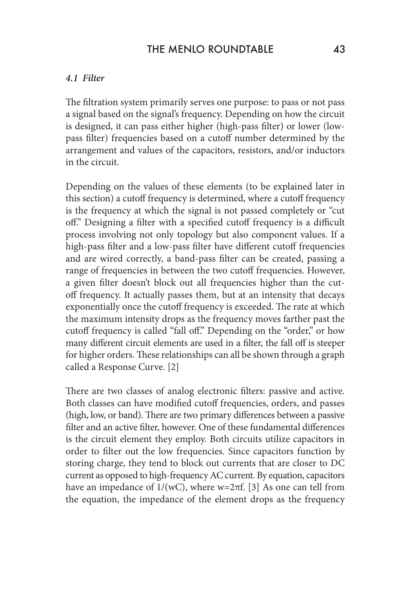### THE MENLO ROUNDTABLE 43

#### *4.1 Filter*

The filtration system primarily serves one purpose: to pass or not pass a signal based on the signal's frequency. Depending on how the circuit is designed, it can pass either higher (high-pass filter) or lower (lowpass filter) frequencies based on a cutoff number determined by the arrangement and values of the capacitors, resistors, and/or inductors in the circuit.

Depending on the values of these elements (to be explained later in this section) a cutoff frequency is determined, where a cutoff frequency is the frequency at which the signal is not passed completely or "cut off." Designing a filter with a specified cutoff frequency is a difficult process involving not only topology but also component values. If a high-pass filter and a low-pass filter have different cutoff frequencies and are wired correctly, a band-pass filter can be created, passing a range of frequencies in between the two cutoff frequencies. However, a given filter doesn't block out all frequencies higher than the cutoff frequency. It actually passes them, but at an intensity that decays exponentially once the cutoff frequency is exceeded. The rate at which the maximum intensity drops as the frequency moves farther past the cutoff frequency is called "fall off." Depending on the "order," or how many different circuit elements are used in a filter, the fall off is steeper for higher orders. These relationships can all be shown through a graph called a Response Curve. [2]

There are two classes of analog electronic filters: passive and active. Both classes can have modified cutoff frequencies, orders, and passes (high, low, or band). There are two primary differences between a passive filter and an active filter, however. One of these fundamental differences is the circuit element they employ. Both circuits utilize capacitors in order to filter out the low frequencies. Since capacitors function by storing charge, they tend to block out currents that are closer to DC current as opposed to high-frequency AC current. By equation, capacitors have an impedance of  $1/(wC)$ , where w=2πf. [3] As one can tell from the equation, the impedance of the element drops as the frequency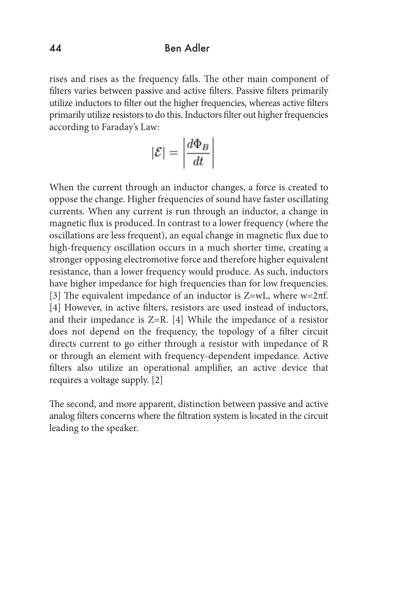rises and rises as the frequency falls. The other main component of filters varies between passive and active filters. Passive filters primarily utilize inductors to filter out the higher frequencies, whereas active filters primarily utilize resistors to do this. Inductors filter out higher frequencies according to Faraday's Law:

$$
|\mathcal{E}| = \left| \frac{d\Phi_B}{dt} \right|
$$

When the current through an inductor changes, a force is created to oppose the change. Higher frequencies of sound have faster oscillating currents. When any current is run through an inductor, a change in magnetic flux is produced. In contrast to a lower frequency (where the oscillations are less frequent), an equal change in magnetic flux due to high-frequency oscillation occurs in a much shorter time, creating a stronger opposing electromotive force and therefore higher equivalent resistance, than a lower frequency would produce. As such, inductors have higher impedance for high frequencies than for low frequencies. [3] The equivalent impedance of an inductor is Z=wL, where w=2πf. [4] However, in active filters, resistors are used instead of inductors, and their impedance is Z=R. [4] While the impedance of a resistor does not depend on the frequency, the topology of a filter circuit directs current to go either through a resistor with impedance of R or through an element with frequency-dependent impedance. Active filters also utilize an operational amplifier, an active device that requires a voltage supply. [2]

The second, and more apparent, distinction between passive and active analog filters concerns where the filtration system is located in the circuit leading to the speaker.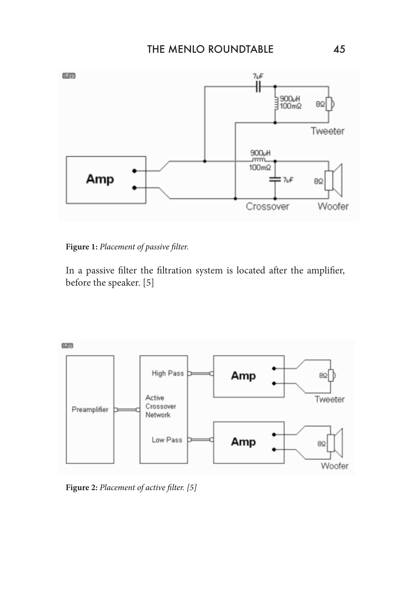

**Figure 1:** *Placement of passive filter.* 

In a passive filter the filtration system is located after the amplifier, before the speaker. [5]



**Figure 2:** *Placement of active filter. [5]*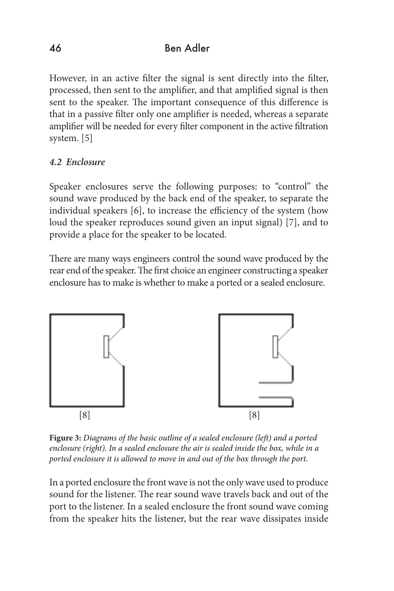However, in an active filter the signal is sent directly into the filter, processed, then sent to the amplifier, and that amplified signal is then sent to the speaker. The important consequence of this difference is that in a passive filter only one amplifier is needed, whereas a separate amplifier will be needed for every filter component in the active filtration system. [5]

### *4.2 Enclosure*

Speaker enclosures serve the following purposes: to "control" the sound wave produced by the back end of the speaker, to separate the individual speakers [6], to increase the efficiency of the system (how loud the speaker reproduces sound given an input signal) [7], and to provide a place for the speaker to be located.

There are many ways engineers control the sound wave produced by the rear end of the speaker. The first choice an engineer constructing a speaker enclosure has to make is whether to make a ported or a sealed enclosure.



**Figure 3:** *Diagrams of the basic outline of a sealed enclosure (left) and a ported enclosure (right). In a sealed enclosure the air is sealed inside the box, while in a ported enclosure it is allowed to move in and out of the box through the port.*

In a ported enclosure the front wave is not the only wave used to produce sound for the listener. The rear sound wave travels back and out of the port to the listener. In a sealed enclosure the front sound wave coming from the speaker hits the listener, but the rear wave dissipates inside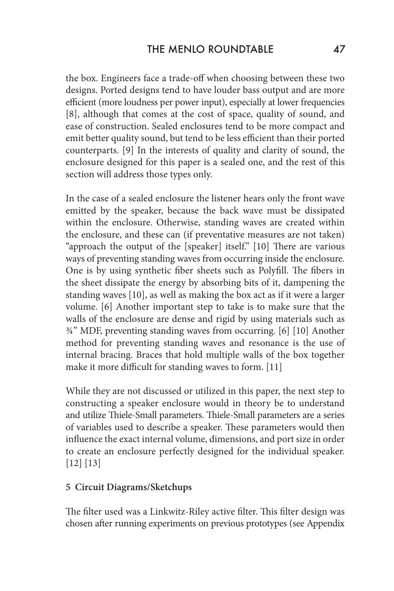the box. Engineers face a trade-off when choosing between these two designs. Ported designs tend to have louder bass output and are more efficient (more loudness per power input), especially at lower frequencies [8], although that comes at the cost of space, quality of sound, and ease of construction. Sealed enclosures tend to be more compact and emit better quality sound, but tend to be less efficient than their ported counterparts. [9] In the interests of quality and clarity of sound, the enclosure designed for this paper is a sealed one, and the rest of this section will address those types only.

In the case of a sealed enclosure the listener hears only the front wave emitted by the speaker, because the back wave must be dissipated within the enclosure. Otherwise, standing waves are created within the enclosure, and these can (if preventative measures are not taken) "approach the output of the [speaker] itself." [10] There are various ways of preventing standing waves from occurring inside the enclosure. One is by using synthetic fiber sheets such as Polyfill. The fibers in the sheet dissipate the energy by absorbing bits of it, dampening the standing waves [10], as well as making the box act as if it were a larger volume. [6] Another important step to take is to make sure that the walls of the enclosure are dense and rigid by using materials such as ¾" MDF, preventing standing waves from occurring. [6] [10] Another method for preventing standing waves and resonance is the use of internal bracing. Braces that hold multiple walls of the box together make it more difficult for standing waves to form. [11]

While they are not discussed or utilized in this paper, the next step to constructing a speaker enclosure would in theory be to understand and utilize Thiele-Small parameters. Thiele-Small parameters are a series of variables used to describe a speaker. These parameters would then influence the exact internal volume, dimensions, and port size in order to create an enclosure perfectly designed for the individual speaker. [12] [13]

### **5 Circuit Diagrams/Sketchups**

The filter used was a Linkwitz-Riley active filter. This filter design was chosen after running experiments on previous prototypes (see Appendix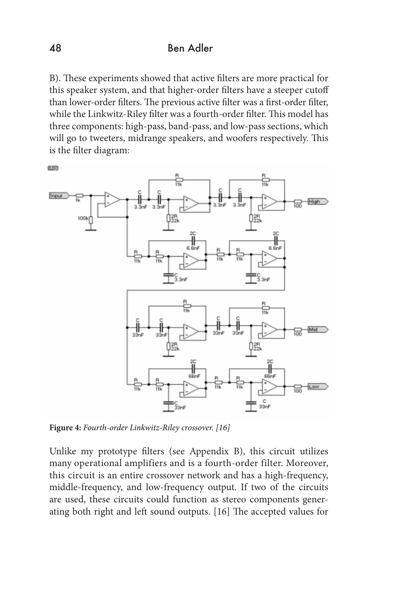B). These experiments showed that active filters are more practical for this speaker system, and that higher-order filters have a steeper cutoff than lower-order filters. The previous active filter was a first-order filter, while the Linkwitz-Riley filter was a fourth-order filter. This model has three components: high-pass, band-pass, and low-pass sections, which will go to tweeters, midrange speakers, and woofers respectively. This is the filter diagram:



**Figure 4:** *Fourth-order Linkwitz-Riley crossover. [16]*

Unlike my prototype filters (see Appendix B), this circuit utilizes many operational amplifiers and is a fourth-order filter. Moreover, this circuit is an entire crossover network and has a high-frequency, middle-frequency, and low-frequency output. If two of the circuits are used, these circuits could function as stereo components generating both right and left sound outputs. [16] The accepted values for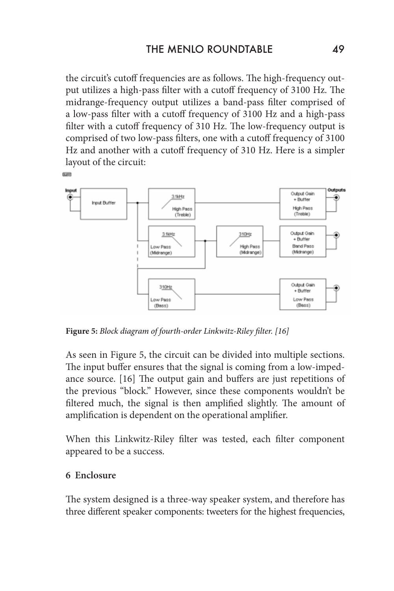the circuit's cutoff frequencies are as follows. The high-frequency output utilizes a high-pass filter with a cutoff frequency of 3100 Hz. The midrange-frequency output utilizes a band-pass filter comprised of a low-pass filter with a cutoff frequency of 3100 Hz and a high-pass filter with a cutoff frequency of 310 Hz. The low-frequency output is comprised of two low-pass filters, one with a cutoff frequency of 3100 Hz and another with a cutoff frequency of 310 Hz. Here is a simpler layout of the circuit:



**Figure 5:** *Block diagram of fourth-order Linkwitz-Riley filter. [16]*

As seen in Figure 5, the circuit can be divided into multiple sections. The input buffer ensures that the signal is coming from a low-impedance source. [16] The output gain and buffers are just repetitions of the previous "block." However, since these components wouldn't be filtered much, the signal is then amplified slightly. The amount of amplification is dependent on the operational amplifier.

When this Linkwitz-Riley filter was tested, each filter component appeared to be a success.

#### **6 Enclosure**

**Rand** 

The system designed is a three-way speaker system, and therefore has three different speaker components: tweeters for the highest frequencies,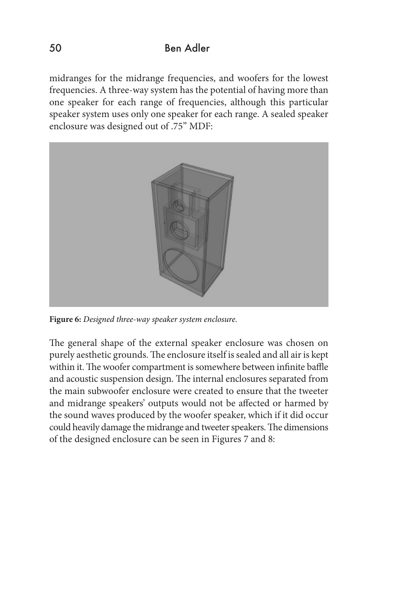midranges for the midrange frequencies, and woofers for the lowest frequencies. A three-way system has the potential of having more than one speaker for each range of frequencies, although this particular speaker system uses only one speaker for each range. A sealed speaker enclosure was designed out of .75" MDF:



**Figure 6:** *Designed three-way speaker system enclosure.*

The general shape of the external speaker enclosure was chosen on purely aesthetic grounds. The enclosure itself is sealed and all air is kept within it. The woofer compartment is somewhere between infinite baffle and acoustic suspension design. The internal enclosures separated from the main subwoofer enclosure were created to ensure that the tweeter and midrange speakers' outputs would not be affected or harmed by the sound waves produced by the woofer speaker, which if it did occur could heavily damage the midrange and tweeter speakers. The dimensions of the designed enclosure can be seen in Figures 7 and 8: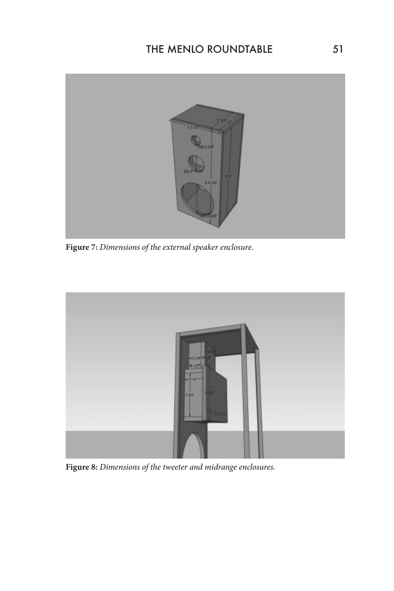

**Figure 7:** *Dimensions of the external speaker enclosure.*



**Figure 8:** *Dimensions of the tweeter and midrange enclosures.*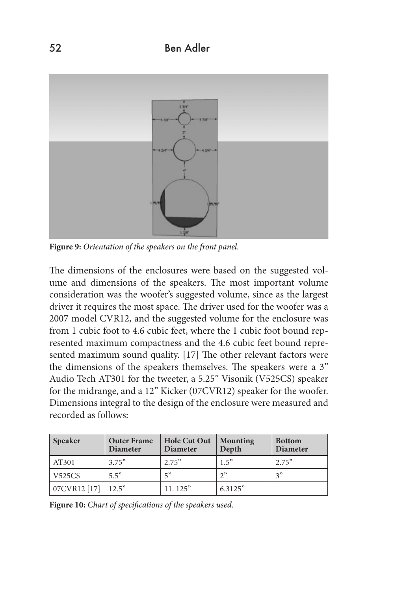

**Figure 9:** *Orientation of the speakers on the front panel.*

The dimensions of the enclosures were based on the suggested volume and dimensions of the speakers. The most important volume consideration was the woofer's suggested volume, since as the largest driver it requires the most space. The driver used for the woofer was a 2007 model CVR12, and the suggested volume for the enclosure was from 1 cubic foot to 4.6 cubic feet, where the 1 cubic foot bound represented maximum compactness and the 4.6 cubic feet bound represented maximum sound quality. [17] The other relevant factors were the dimensions of the speakers themselves. The speakers were a 3" Audio Tech AT301 for the tweeter, a 5.25" Visonik (V525CS) speaker for the midrange, and a 12" Kicker (07CVR12) speaker for the woofer. Dimensions integral to the design of the enclosure were measured and recorded as follows:

| <b>Speaker</b> | <b>Outer Frame</b><br><b>Diameter</b> | <b>Hole Cut Out</b><br><b>Diameter</b> | <b>Mounting</b><br>Depth | <b>Bottom</b><br><b>Diameter</b> |
|----------------|---------------------------------------|----------------------------------------|--------------------------|----------------------------------|
| AT301          | 3.75"                                 | 2.75"                                  | 1.5"                     | 2.75"                            |
| V525CS         | 55                                    | 5"                                     | $\gamma$ "               | 2"                               |
| 07CVR12 [17]   | 12.5"                                 | 11.125"                                | 6.3125"                  |                                  |

**Figure 10:** *Chart of specifications of the speakers used.*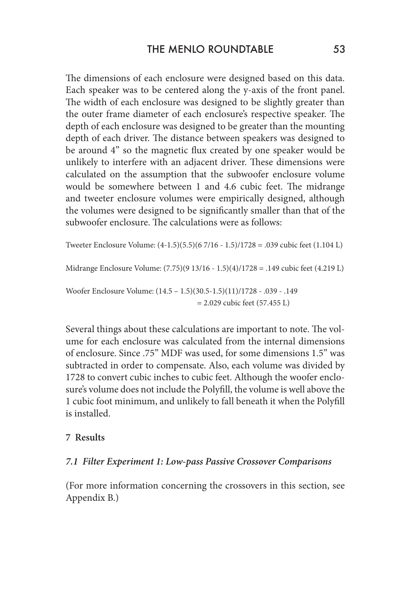The dimensions of each enclosure were designed based on this data. Each speaker was to be centered along the y-axis of the front panel. The width of each enclosure was designed to be slightly greater than the outer frame diameter of each enclosure's respective speaker. The depth of each enclosure was designed to be greater than the mounting depth of each driver. The distance between speakers was designed to be around 4" so the magnetic flux created by one speaker would be unlikely to interfere with an adjacent driver. These dimensions were calculated on the assumption that the subwoofer enclosure volume would be somewhere between 1 and 4.6 cubic feet. The midrange and tweeter enclosure volumes were empirically designed, although the volumes were designed to be significantly smaller than that of the subwoofer enclosure. The calculations were as follows:

```
Tweeter Enclosure Volume: (4-1.5)(5.5)(6 7/16 - 1.5)/1728 = .039 cubic feet (1.104 L)
Midrange Enclosure Volume: (7.75)(9 13/16 - 1.5)(4)/1728 = .149 cubic feet (4.219 L)
Woofer Enclosure Volume: (14.5 – 1.5)(30.5-1.5)(11)/1728 - .039 - .149 
                                        = 2.029 cubic feet (57.455 L)
```
Several things about these calculations are important to note. The volume for each enclosure was calculated from the internal dimensions of enclosure. Since .75" MDF was used, for some dimensions 1.5" was subtracted in order to compensate. Also, each volume was divided by 1728 to convert cubic inches to cubic feet. Although the woofer enclosure's volume does not include the Polyfill, the volume is well above the 1 cubic foot minimum, and unlikely to fall beneath it when the Polyfill is installed.

#### **7 Results**

#### *7.1 Filter Experiment 1: Low-pass Passive Crossover Comparisons*

(For more information concerning the crossovers in this section, see Appendix B.)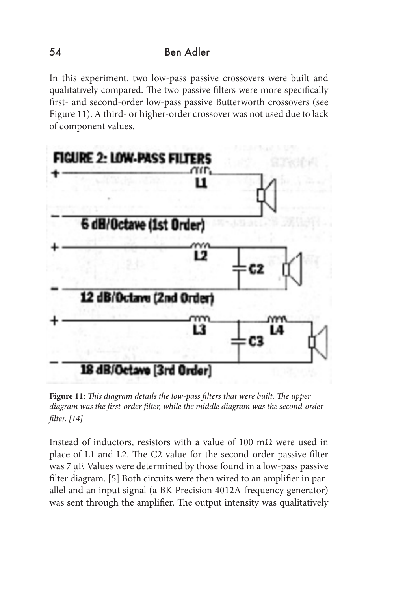In this experiment, two low-pass passive crossovers were built and qualitatively compared. The two passive filters were more specifically first- and second-order low-pass passive Butterworth crossovers (see Figure 11). A third- or higher-order crossover was not used due to lack of component values.



**Figure 11:** *This diagram details the low-pass filters that were built. The upper diagram was the first-order filter, while the middle diagram was the second-order filter. [14]*

Instead of inductors, resistors with a value of 100 m $\Omega$  were used in place of L1 and L2. The C2 value for the second-order passive filter was 7 µF. Values were determined by those found in a low-pass passive filter diagram. [5] Both circuits were then wired to an amplifier in parallel and an input signal (a BK Precision 4012A frequency generator) was sent through the amplifier. The output intensity was qualitatively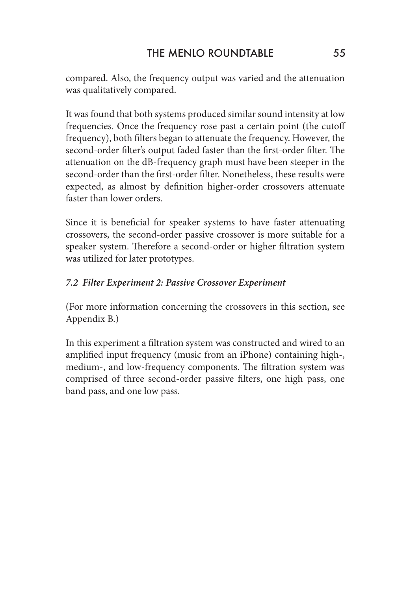compared. Also, the frequency output was varied and the attenuation was qualitatively compared.

It was found that both systems produced similar sound intensity at low frequencies. Once the frequency rose past a certain point (the cutoff frequency), both filters began to attenuate the frequency. However, the second-order filter's output faded faster than the first-order filter. The attenuation on the dB-frequency graph must have been steeper in the second-order than the first-order filter. Nonetheless, these results were expected, as almost by definition higher-order crossovers attenuate faster than lower orders.

Since it is beneficial for speaker systems to have faster attenuating crossovers, the second-order passive crossover is more suitable for a speaker system. Therefore a second-order or higher filtration system was utilized for later prototypes.

### *7.2 Filter Experiment 2: Passive Crossover Experiment*

(For more information concerning the crossovers in this section, see Appendix B.)

In this experiment a filtration system was constructed and wired to an amplified input frequency (music from an iPhone) containing high-, medium-, and low-frequency components. The filtration system was comprised of three second-order passive filters, one high pass, one band pass, and one low pass.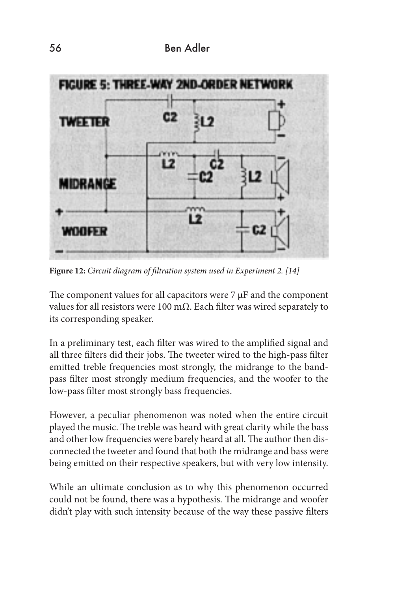

**Figure 12:** *Circuit diagram of filtration system used in Experiment 2. [14]*

The component values for all capacitors were  $7 \mu$ F and the component values for all resistors were 100 m $Ω$ . Each filter was wired separately to its corresponding speaker.

In a preliminary test, each filter was wired to the amplified signal and all three filters did their jobs. The tweeter wired to the high-pass filter emitted treble frequencies most strongly, the midrange to the bandpass filter most strongly medium frequencies, and the woofer to the low-pass filter most strongly bass frequencies.

However, a peculiar phenomenon was noted when the entire circuit played the music. The treble was heard with great clarity while the bass and other low frequencies were barely heard at all. The author then disconnected the tweeter and found that both the midrange and bass were being emitted on their respective speakers, but with very low intensity.

While an ultimate conclusion as to why this phenomenon occurred could not be found, there was a hypothesis. The midrange and woofer didn't play with such intensity because of the way these passive filters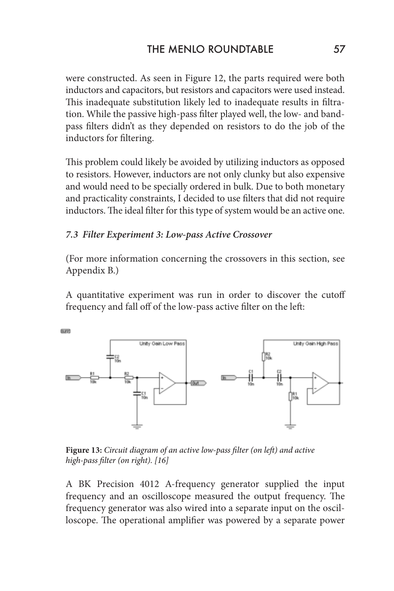were constructed. As seen in Figure 12, the parts required were both inductors and capacitors, but resistors and capacitors were used instead. This inadequate substitution likely led to inadequate results in filtration. While the passive high-pass filter played well, the low- and bandpass filters didn't as they depended on resistors to do the job of the inductors for filtering.

This problem could likely be avoided by utilizing inductors as opposed to resistors. However, inductors are not only clunky but also expensive and would need to be specially ordered in bulk. Due to both monetary and practicality constraints, I decided to use filters that did not require inductors. The ideal filter for this type of system would be an active one.

### *7.3 Filter Experiment 3: Low-pass Active Crossover*

(For more information concerning the crossovers in this section, see Appendix B.)

A quantitative experiment was run in order to discover the cutoff frequency and fall off of the low-pass active filter on the left:



**Figure 13:** *Circuit diagram of an active low-pass filter (on left) and active high-pass filter (on right). [16]*

A BK Precision 4012 A-frequency generator supplied the input frequency and an oscilloscope measured the output frequency. The frequency generator was also wired into a separate input on the oscilloscope. The operational amplifier was powered by a separate power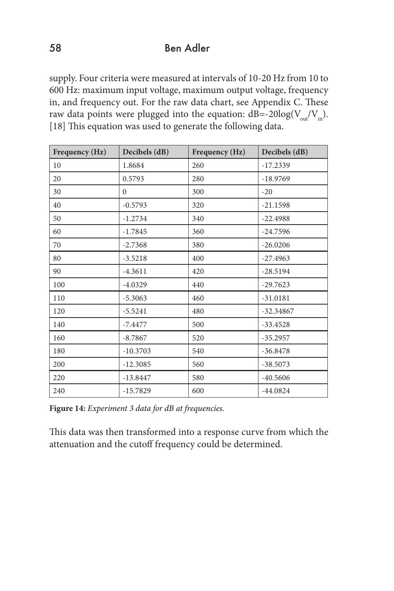supply. Four criteria were measured at intervals of 10-20 Hz from 10 to 600 Hz: maximum input voltage, maximum output voltage, frequency in, and frequency out. For the raw data chart, see Appendix C. These raw data points were plugged into the equation:  $dB = -20\log(V_{\text{out}}/V_{\text{in}})$ . [18] This equation was used to generate the following data.

| Frequency (Hz) | Decibels (dB) | Frequency (Hz) | Decibels (dB) |
|----------------|---------------|----------------|---------------|
| 10             | 1.8684        | 260            | $-17.2339$    |
| 20             | 0.5793        | 280            | $-18.9769$    |
| 30             | $\mathbf{0}$  | 300            | $-20$         |
| 40             | $-0.5793$     | 320            | $-21.1598$    |
| 50             | $-1.2734$     | 340            | $-22.4988$    |
| 60             | $-1.7845$     | 360            | $-24.7596$    |
| 70             | $-2.7368$     | 380            | $-26.0206$    |
| 80             | $-3.5218$     | 400            | $-27.4963$    |
| 90             | $-4.3611$     | 420            | $-28.5194$    |
| 100            | $-4.0329$     | 440            | $-29.7623$    |
| 110            | $-5.3063$     | 460            | $-31.0181$    |
| 120            | $-5.5241$     | 480            | $-32.34867$   |
| 140            | $-7.4477$     | 500            | $-33.4528$    |
| 160            | $-8.7867$     | 520            | $-35.2957$    |
| 180            | $-10.3703$    | 540            | $-36.8478$    |
| 200            | $-12.3085$    | 560            | $-38.5073$    |
| 220            | $-13.8447$    | 580            | $-40.5606$    |
| 240            | $-15.7829$    | 600            | $-44.0824$    |

**Figure 14:** *Experiment 3 data for dB at frequencies.*

This data was then transformed into a response curve from which the attenuation and the cutoff frequency could be determined.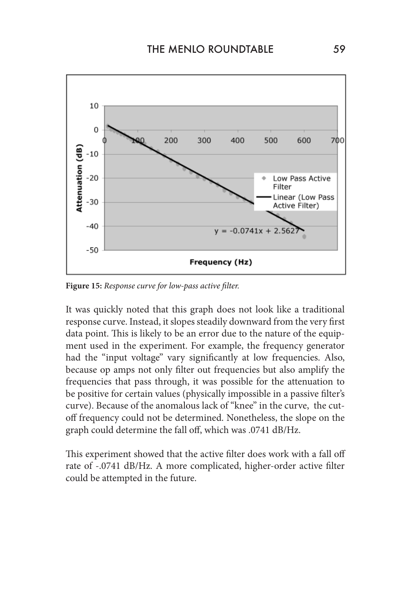

**Figure 15:** *Response curve for low-pass active filter.*

It was quickly noted that this graph does not look like a traditional response curve. Instead, it slopes steadily downward from the very first data point. This is likely to be an error due to the nature of the equipment used in the experiment. For example, the frequency generator had the "input voltage" vary significantly at low frequencies. Also, because op amps not only filter out frequencies but also amplify the frequencies that pass through, it was possible for the attenuation to be positive for certain values (physically impossible in a passive filter's curve). Because of the anomalous lack of "knee" in the curve, the cutoff frequency could not be determined. Nonetheless, the slope on the graph could determine the fall off, which was .0741 dB/Hz.

This experiment showed that the active filter does work with a fall off rate of -.0741 dB/Hz. A more complicated, higher-order active filter could be attempted in the future.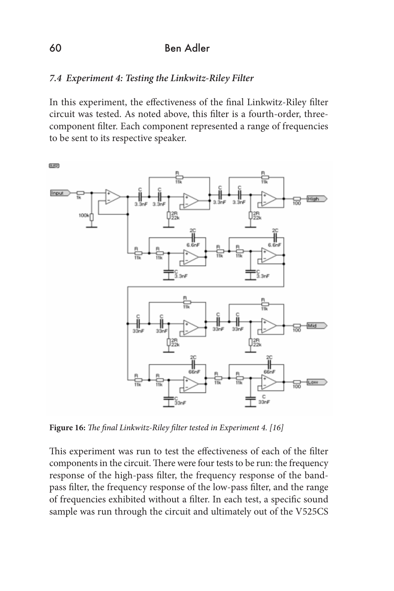### *7.4 Experiment 4: Testing the Linkwitz-Riley Filter*

In this experiment, the effectiveness of the final Linkwitz-Riley filter circuit was tested. As noted above, this filter is a fourth-order, threecomponent filter. Each component represented a range of frequencies to be sent to its respective speaker.



**Figure 16:** *The final Linkwitz-Riley filter tested in Experiment 4. [16]*

This experiment was run to test the effectiveness of each of the filter components in the circuit. There were four tests to be run: the frequency response of the high-pass filter, the frequency response of the bandpass filter, the frequency response of the low-pass filter, and the range of frequencies exhibited without a filter. In each test, a specific sound sample was run through the circuit and ultimately out of the V525CS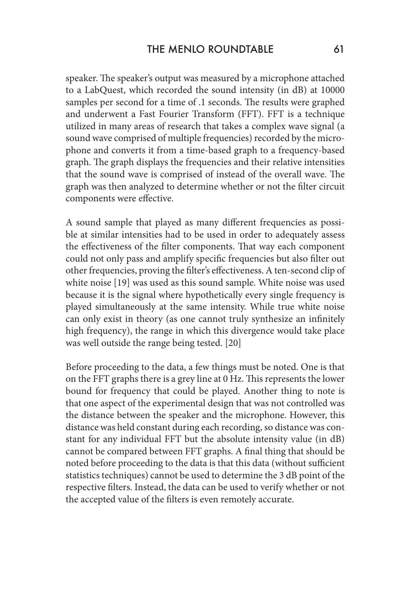speaker. The speaker's output was measured by a microphone attached to a LabQuest, which recorded the sound intensity (in dB) at 10000 samples per second for a time of .1 seconds. The results were graphed and underwent a Fast Fourier Transform (FFT). FFT is a technique utilized in many areas of research that takes a complex wave signal (a sound wave comprised of multiple frequencies) recorded by the microphone and converts it from a time-based graph to a frequency-based graph. The graph displays the frequencies and their relative intensities that the sound wave is comprised of instead of the overall wave. The graph was then analyzed to determine whether or not the filter circuit components were effective.

A sound sample that played as many different frequencies as possible at similar intensities had to be used in order to adequately assess the effectiveness of the filter components. That way each component could not only pass and amplify specific frequencies but also filter out other frequencies, proving the filter's effectiveness. A ten-second clip of white noise [19] was used as this sound sample. White noise was used because it is the signal where hypothetically every single frequency is played simultaneously at the same intensity. While true white noise can only exist in theory (as one cannot truly synthesize an infinitely high frequency), the range in which this divergence would take place was well outside the range being tested. [20]

Before proceeding to the data, a few things must be noted. One is that on the FFT graphs there is a grey line at 0 Hz. This represents the lower bound for frequency that could be played. Another thing to note is that one aspect of the experimental design that was not controlled was the distance between the speaker and the microphone. However, this distance was held constant during each recording, so distance was constant for any individual FFT but the absolute intensity value (in dB) cannot be compared between FFT graphs. A final thing that should be noted before proceeding to the data is that this data (without sufficient statistics techniques) cannot be used to determine the 3 dB point of the respective filters. Instead, the data can be used to verify whether or not the accepted value of the filters is even remotely accurate.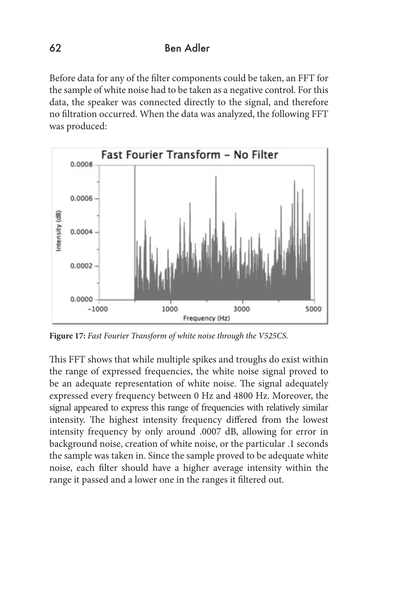Before data for any of the filter components could be taken, an FFT for the sample of white noise had to be taken as a negative control. For this data, the speaker was connected directly to the signal, and therefore no filtration occurred. When the data was analyzed, the following FFT was produced:



**Figure 17:** *Fast Fourier Transform of white noise through the V525CS.*

This FFT shows that while multiple spikes and troughs do exist within the range of expressed frequencies, the white noise signal proved to be an adequate representation of white noise. The signal adequately expressed every frequency between 0 Hz and 4800 Hz. Moreover, the signal appeared to express this range of frequencies with relatively similar intensity. The highest intensity frequency differed from the lowest intensity frequency by only around .0007 dB, allowing for error in background noise, creation of white noise, or the particular .1 seconds the sample was taken in. Since the sample proved to be adequate white noise, each filter should have a higher average intensity within the range it passed and a lower one in the ranges it filtered out.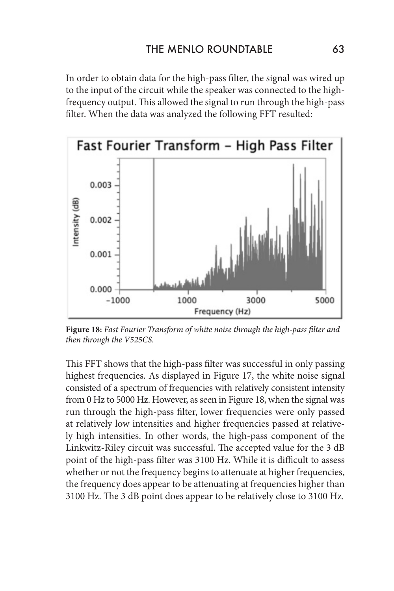In order to obtain data for the high-pass filter, the signal was wired up to the input of the circuit while the speaker was connected to the highfrequency output. This allowed the signal to run through the high-pass filter. When the data was analyzed the following FFT resulted:



**Figure 18:** *Fast Fourier Transform of white noise through the high-pass filter and then through the V525CS.*

This FFT shows that the high-pass filter was successful in only passing highest frequencies. As displayed in Figure 17, the white noise signal consisted of a spectrum of frequencies with relatively consistent intensity from 0 Hz to 5000 Hz. However, as seen in Figure 18, when the signal was run through the high-pass filter, lower frequencies were only passed at relatively low intensities and higher frequencies passed at relatively high intensities. In other words, the high-pass component of the Linkwitz-Riley circuit was successful. The accepted value for the 3 dB point of the high-pass filter was 3100 Hz. While it is difficult to assess whether or not the frequency begins to attenuate at higher frequencies, the frequency does appear to be attenuating at frequencies higher than 3100 Hz. The 3 dB point does appear to be relatively close to 3100 Hz.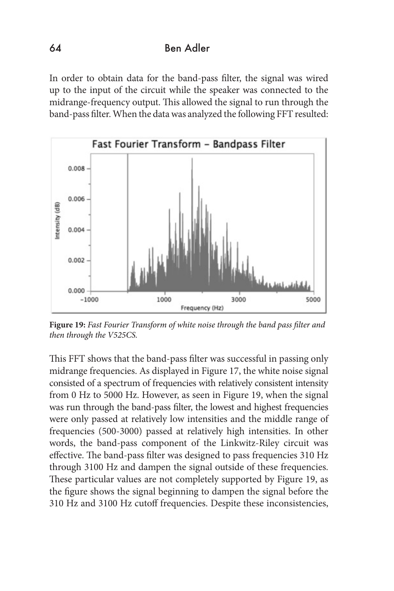In order to obtain data for the band-pass filter, the signal was wired up to the input of the circuit while the speaker was connected to the midrange-frequency output. This allowed the signal to run through the band-pass filter. When the data was analyzed the following FFT resulted:



**Figure 19:** *Fast Fourier Transform of white noise through the band pass filter and then through the V525CS.*

This FFT shows that the band-pass filter was successful in passing only midrange frequencies. As displayed in Figure 17, the white noise signal consisted of a spectrum of frequencies with relatively consistent intensity from 0 Hz to 5000 Hz. However, as seen in Figure 19, when the signal was run through the band-pass filter, the lowest and highest frequencies were only passed at relatively low intensities and the middle range of frequencies (500-3000) passed at relatively high intensities. In other words, the band-pass component of the Linkwitz-Riley circuit was effective. The band-pass filter was designed to pass frequencies 310 Hz through 3100 Hz and dampen the signal outside of these frequencies. These particular values are not completely supported by Figure 19, as the figure shows the signal beginning to dampen the signal before the 310 Hz and 3100 Hz cutoff frequencies. Despite these inconsistencies,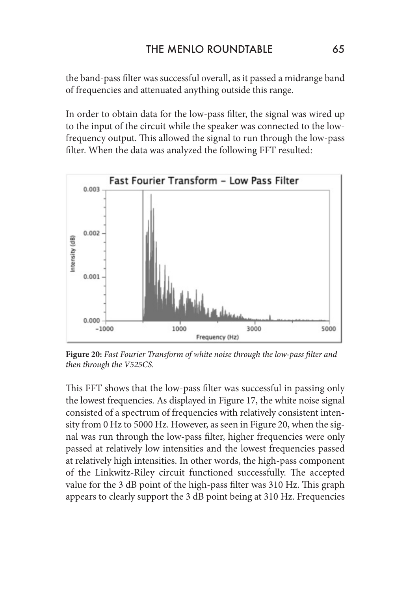the band-pass filter was successful overall, as it passed a midrange band of frequencies and attenuated anything outside this range.

In order to obtain data for the low-pass filter, the signal was wired up to the input of the circuit while the speaker was connected to the lowfrequency output. This allowed the signal to run through the low-pass filter. When the data was analyzed the following FFT resulted:



**Figure 20:** *Fast Fourier Transform of white noise through the low-pass filter and then through the V525CS.*

This FFT shows that the low-pass filter was successful in passing only the lowest frequencies. As displayed in Figure 17, the white noise signal consisted of a spectrum of frequencies with relatively consistent intensity from 0 Hz to 5000 Hz. However, as seen in Figure 20, when the signal was run through the low-pass filter, higher frequencies were only passed at relatively low intensities and the lowest frequencies passed at relatively high intensities. In other words, the high-pass component of the Linkwitz-Riley circuit functioned successfully. The accepted value for the 3 dB point of the high-pass filter was 310 Hz. This graph appears to clearly support the 3 dB point being at 310 Hz. Frequencies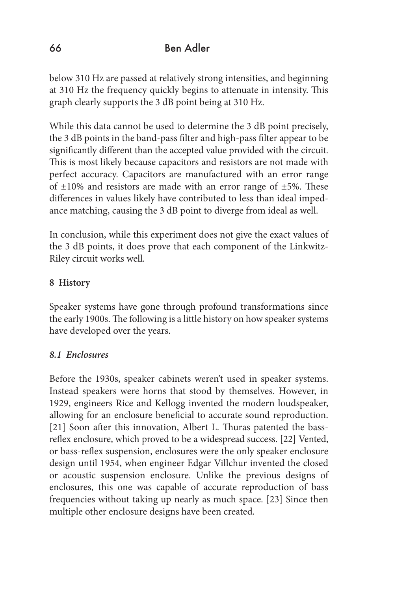below 310 Hz are passed at relatively strong intensities, and beginning at 310 Hz the frequency quickly begins to attenuate in intensity. This graph clearly supports the 3 dB point being at 310 Hz.

While this data cannot be used to determine the 3 dB point precisely, the 3 dB points in the band-pass filter and high-pass filter appear to be significantly different than the accepted value provided with the circuit. This is most likely because capacitors and resistors are not made with perfect accuracy. Capacitors are manufactured with an error range of  $\pm 10\%$  and resistors are made with an error range of  $\pm 5\%$ . These differences in values likely have contributed to less than ideal impedance matching, causing the 3 dB point to diverge from ideal as well.

In conclusion, while this experiment does not give the exact values of the 3 dB points, it does prove that each component of the Linkwitz-Riley circuit works well.

### **8 History**

Speaker systems have gone through profound transformations since the early 1900s. The following is a little history on how speaker systems have developed over the years.

### *8.1 Enclosures*

Before the 1930s, speaker cabinets weren't used in speaker systems. Instead speakers were horns that stood by themselves. However, in 1929, engineers Rice and Kellogg invented the modern loudspeaker, allowing for an enclosure beneficial to accurate sound reproduction. [21] Soon after this innovation, Albert L. Thuras patented the bassreflex enclosure, which proved to be a widespread success. [22] Vented, or bass-reflex suspension, enclosures were the only speaker enclosure design until 1954, when engineer Edgar Villchur invented the closed or acoustic suspension enclosure. Unlike the previous designs of enclosures, this one was capable of accurate reproduction of bass frequencies without taking up nearly as much space. [23] Since then multiple other enclosure designs have been created.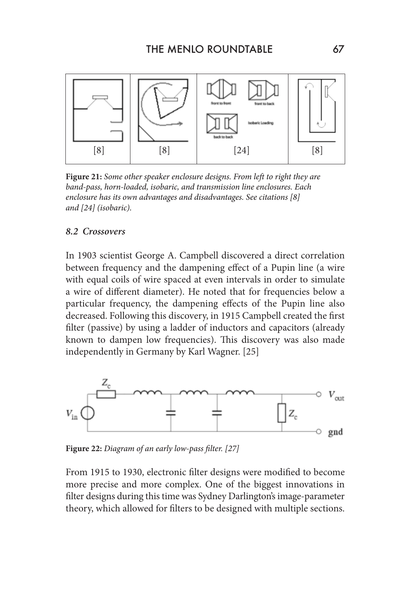

**Figure 21:** *Some other speaker enclosure designs. From left to right they are band-pass, horn-loaded, isobaric, and transmission line enclosures. Each enclosure has its own advantages and disadvantages. See citations [8] and [24] (isobaric).*

#### *8.2 Crossovers*

In 1903 scientist George A. Campbell discovered a direct correlation between frequency and the dampening effect of a Pupin line (a wire with equal coils of wire spaced at even intervals in order to simulate a wire of different diameter). He noted that for frequencies below a particular frequency, the dampening effects of the Pupin line also decreased. Following this discovery, in 1915 Campbell created the first filter (passive) by using a ladder of inductors and capacitors (already known to dampen low frequencies). This discovery was also made independently in Germany by Karl Wagner. [25]



**Figure 22:** *Diagram of an early low-pass filter. [27]*

From 1915 to 1930, electronic filter designs were modified to become more precise and more complex. One of the biggest innovations in filter designs during this time was Sydney Darlington's image-parameter theory, which allowed for filters to be designed with multiple sections.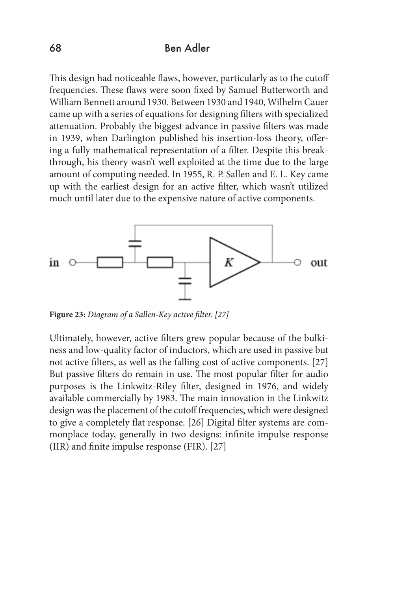This design had noticeable flaws, however, particularly as to the cutoff frequencies. These flaws were soon fixed by Samuel Butterworth and William Bennett around 1930. Between 1930 and 1940, Wilhelm Cauer came up with a series of equations for designing filters with specialized attenuation. Probably the biggest advance in passive filters was made in 1939, when Darlington published his insertion-loss theory, offering a fully mathematical representation of a filter. Despite this breakthrough, his theory wasn't well exploited at the time due to the large amount of computing needed. In 1955, R. P. Sallen and E. L. Key came up with the earliest design for an active filter, which wasn't utilized much until later due to the expensive nature of active components.



**Figure 23:** *Diagram of a Sallen-Key active filter. [27]*

Ultimately, however, active filters grew popular because of the bulkiness and low-quality factor of inductors, which are used in passive but not active filters, as well as the falling cost of active components. [27] But passive filters do remain in use. The most popular filter for audio purposes is the Linkwitz-Riley filter, designed in 1976, and widely available commercially by 1983. The main innovation in the Linkwitz design was the placement of the cutoff frequencies, which were designed to give a completely flat response. [26] Digital filter systems are commonplace today, generally in two designs: infinite impulse response (IIR) and finite impulse response (FIR). [27]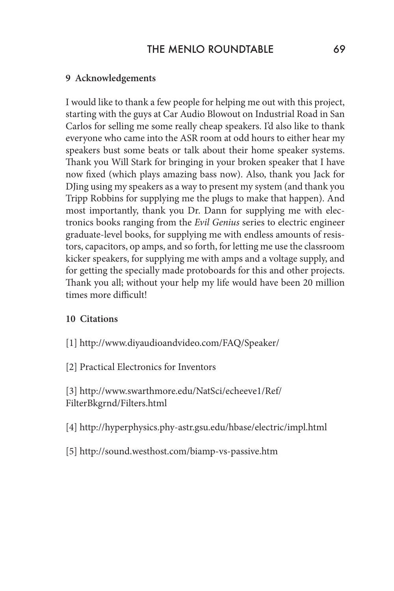#### **9 Acknowledgements**

I would like to thank a few people for helping me out with this project, starting with the guys at Car Audio Blowout on Industrial Road in San Carlos for selling me some really cheap speakers. I'd also like to thank everyone who came into the ASR room at odd hours to either hear my speakers bust some beats or talk about their home speaker systems. Thank you Will Stark for bringing in your broken speaker that I have now fixed (which plays amazing bass now). Also, thank you Jack for DJing using my speakers as a way to present my system (and thank you Tripp Robbins for supplying me the plugs to make that happen). And most importantly, thank you Dr. Dann for supplying me with electronics books ranging from the *Evil Genius* series to electric engineer graduate-level books, for supplying me with endless amounts of resistors, capacitors, op amps, and so forth, for letting me use the classroom kicker speakers, for supplying me with amps and a voltage supply, and for getting the specially made protoboards for this and other projects. Thank you all; without your help my life would have been 20 million times more difficult!

#### **10 Citations**

[1] http://www.diyaudioandvideo.com/FAQ/Speaker/

[2] Practical Electronics for Inventors

[3] http://www.swarthmore.edu/NatSci/echeeve1/Ref/ FilterBkgrnd/Filters.html

[4] http://hyperphysics.phy-astr.gsu.edu/hbase/electric/impl.html

[5] http://sound.westhost.com/biamp-vs-passive.htm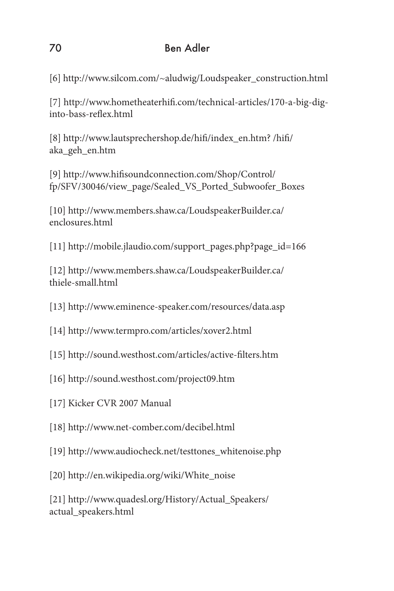[6] http://www.silcom.com/~aludwig/Loudspeaker\_construction.html

[7] http://www.hometheaterhifi.com/technical-articles/170-a-big-diginto-bass-reflex.html

[8] http://www.lautsprechershop.de/hifi/index\_en.htm? /hifi/ aka\_geh\_en.htm

[9] http://www.hifisoundconnection.com/Shop/Control/ fp/SFV/30046/view\_page/Sealed\_VS\_Ported\_Subwoofer\_Boxes

[10] http://www.members.shaw.ca/LoudspeakerBuilder.ca/ enclosures.html

[11] http://mobile.jlaudio.com/support\_pages.php?page\_id=166

[12] http://www.members.shaw.ca/LoudspeakerBuilder.ca/ thiele-small.html

[13] http://www.eminence-speaker.com/resources/data.asp

- [14] http://www.termpro.com/articles/xover2.html
- [15] http://sound.westhost.com/articles/active-filters.htm
- [16] http://sound.westhost.com/project09.htm
- [17] Kicker CVR 2007 Manual
- [18] http://www.net-comber.com/decibel.html
- [19] http://www.audiocheck.net/testtones\_whitenoise.php
- [20] http://en.wikipedia.org/wiki/White\_noise

[21] http://www.quadesl.org/History/Actual\_Speakers/ actual\_speakers.html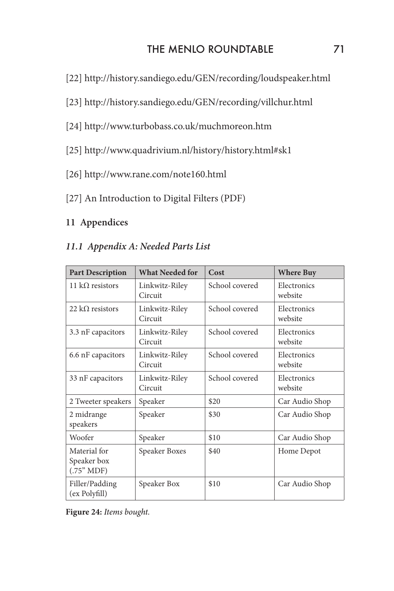# THE MENLO ROUNDTABLE 71

- [22] http://history.sandiego.edu/GEN/recording/loudspeaker.html
- [23] http://history.sandiego.edu/GEN/recording/villchur.html
- [24] http://www.turbobass.co.uk/muchmoreon.htm
- [25] http://www.quadrivium.nl/history/history.html#sk1
- [26] http://www.rane.com/note160.html
- [27] An Introduction to Digital Filters (PDF)

### **11 Appendices**

### *11.1 Appendix A: Needed Parts List*

| <b>Part Description</b>                   | <b>What Needed for</b>    | Cost           | <b>Where Buy</b>       |
|-------------------------------------------|---------------------------|----------------|------------------------|
| 11 k $\Omega$ resistors                   | Linkwitz-Riley<br>Circuit | School covered | Electronics<br>website |
| 22 k $\Omega$ resistors                   | Linkwitz-Riley<br>Circuit | School covered | Electronics<br>website |
| 3.3 nF capacitors                         | Linkwitz-Riley<br>Circuit | School covered | Electronics<br>website |
| 6.6 nF capacitors                         | Linkwitz-Riley<br>Circuit | School covered | Electronics<br>website |
| 33 nF capacitors                          | Linkwitz-Riley<br>Circuit | School covered | Electronics<br>website |
| 2 Tweeter speakers                        | Speaker                   | \$20           | Car Audio Shop         |
| 2 midrange<br>speakers                    | Speaker                   | \$30           | Car Audio Shop         |
| Woofer                                    | Speaker                   | \$10           | Car Audio Shop         |
| Material for<br>Speaker box<br>(.75" MDF) | Speaker Boxes             | \$40           | Home Depot             |
| Filler/Padding<br>(ex Polyfill)           | Speaker Box               | \$10           | Car Audio Shop         |

**Figure 24:** *Items bought.*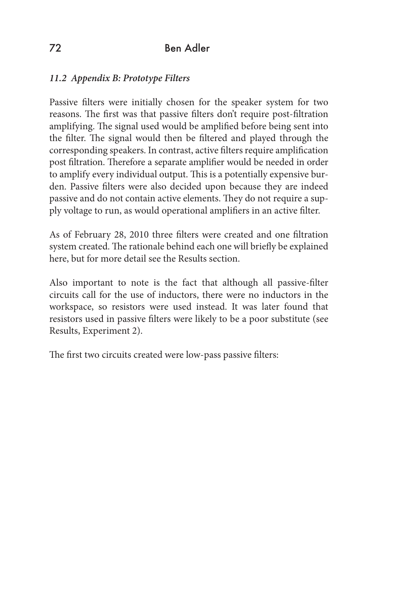### *11.2 Appendix B: Prototype Filters*

Passive filters were initially chosen for the speaker system for two reasons. The first was that passive filters don't require post-filtration amplifying. The signal used would be amplified before being sent into the filter. The signal would then be filtered and played through the corresponding speakers. In contrast, active filters require amplification post filtration. Therefore a separate amplifier would be needed in order to amplify every individual output. This is a potentially expensive burden. Passive filters were also decided upon because they are indeed passive and do not contain active elements. They do not require a supply voltage to run, as would operational amplifiers in an active filter.

As of February 28, 2010 three filters were created and one filtration system created. The rationale behind each one will briefly be explained here, but for more detail see the Results section.

Also important to note is the fact that although all passive-filter circuits call for the use of inductors, there were no inductors in the workspace, so resistors were used instead. It was later found that resistors used in passive filters were likely to be a poor substitute (see Results, Experiment 2).

The first two circuits created were low-pass passive filters: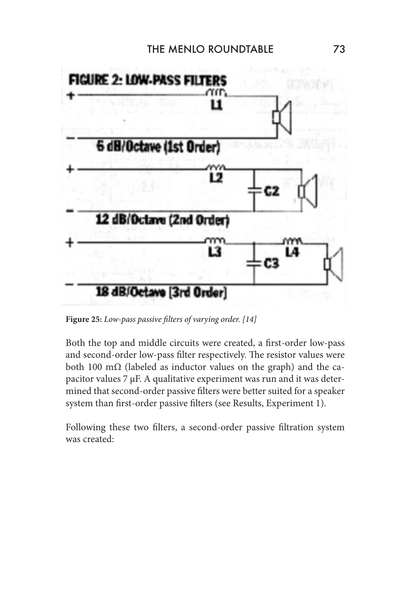

**Figure 25:** *Low-pass passive filters of varying order. [14]*

Both the top and middle circuits were created, a first-order low-pass and second-order low-pass filter respectively. The resistor values were both 100 m $\Omega$  (labeled as inductor values on the graph) and the capacitor values 7 µF. A qualitative experiment was run and it was determined that second-order passive filters were better suited for a speaker system than first-order passive filters (see Results, Experiment 1).

Following these two filters, a second-order passive filtration system was created: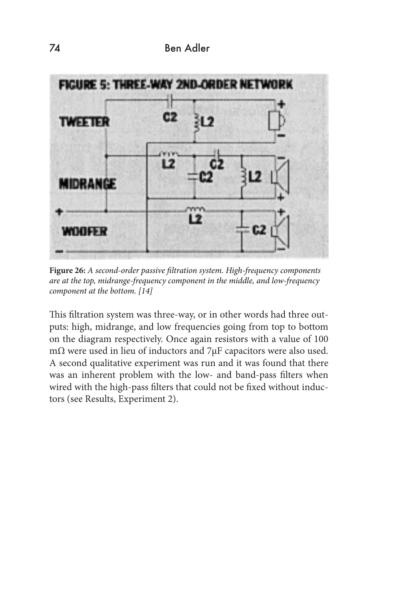

**Figure 26:** *A second-order passive filtration system. High-frequency components are at the top, midrange-frequency component in the middle, and low-frequency component at the bottom. [14]*

This filtration system was three-way, or in other words had three outputs: high, midrange, and low frequencies going from top to bottom on the diagram respectively. Once again resistors with a value of 100 mΩ were used in lieu of inductors and 7µF capacitors were also used. A second qualitative experiment was run and it was found that there was an inherent problem with the low- and band-pass filters when wired with the high-pass filters that could not be fixed without inductors (see Results, Experiment 2).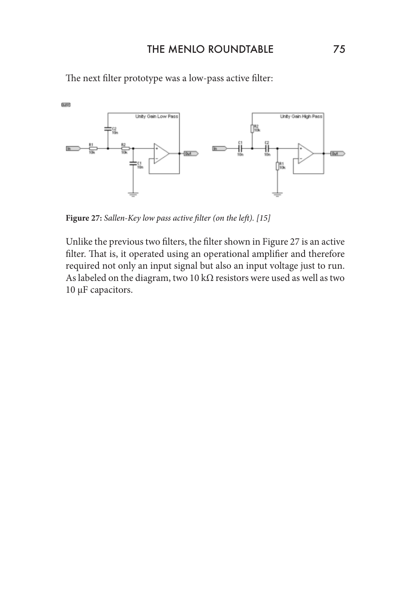

The next filter prototype was a low-pass active filter:

**Figure 27:** *Sallen-Key low pass active filter (on the left). [15]*

Unlike the previous two filters, the filter shown in Figure 27 is an active filter. That is, it operated using an operational amplifier and therefore required not only an input signal but also an input voltage just to run. As labeled on the diagram, two 10 k $\Omega$  resistors were used as well as two 10 μF capacitors.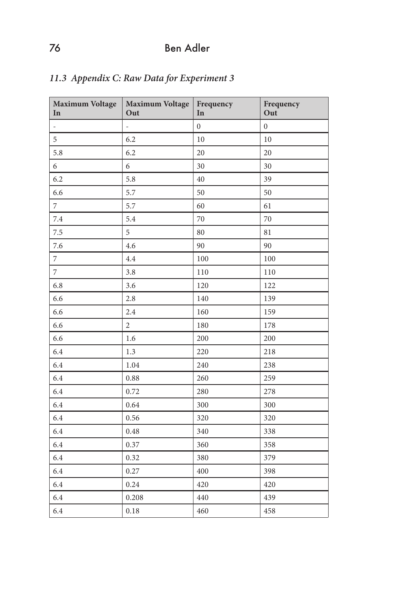| <b>Maximum Voltage</b><br>In | <b>Maximum Voltage</b><br>Out | Frequency<br>In | Frequency<br>Out |
|------------------------------|-------------------------------|-----------------|------------------|
| $\frac{1}{2}$                | $\frac{1}{2}$                 | $\overline{0}$  | $\mathbf{0}$     |
| 5                            | 6.2                           | $10\,$          | $10\,$           |
| 5.8                          | 6.2                           | 20              | 20               |
| 6                            | 6                             | 30              | 30               |
| 6.2                          | 5.8                           | 40              | 39               |
| 6.6                          | 5.7                           | 50              | 50               |
| $\overline{7}$               | 5.7                           | 60              | 61               |
| 7.4                          | 5.4                           | 70              | 70               |
| $7.5\,$                      | 5                             | 80              | 81               |
| 7.6                          | 4.6                           | 90              | 90               |
| $\overline{7}$               | 4.4                           | 100             | 100              |
| $\overline{7}$               | 3.8                           | 110             | 110              |
| 6.8                          | 3.6                           | 120             | 122              |
| 6.6                          | 2.8                           | 140             | 139              |
| 6.6                          | 2.4                           | 160             | 159              |
| 6.6                          | $\overline{2}$                | 180             | 178              |
| 6.6                          | 1.6                           | 200             | 200              |
| 6.4                          | 1.3                           | 220             | 218              |
| 6.4                          | 1.04                          | 240             | 238              |
| 6.4                          | 0.88                          | 260             | 259              |
| 6.4                          | 0.72                          | 280             | 278              |
| 6.4                          | 0.64                          | 300             | 300              |
| 6.4                          | 0.56                          | 320             | 320              |
| 6.4                          | 0.48                          | 340             | 338              |
| 6.4                          | 0.37                          | 360             | 358              |
| 6.4                          | 0.32                          | 380             | 379              |
| 6.4                          | 0.27                          | 400             | 398              |
| 6.4                          | 0.24                          | 420             | 420              |
| 6.4                          | 0.208                         | 440             | 439              |
| 6.4                          | 0.18                          | 460             | 458              |

# *11.3 Appendix C: Raw Data for Experiment 3*